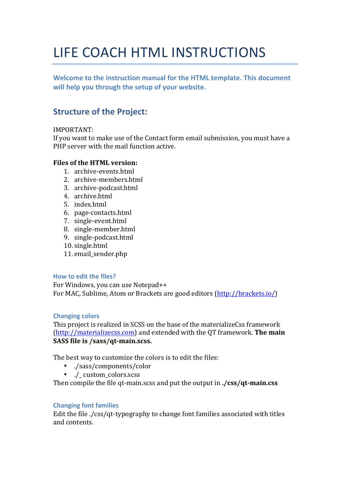# LIFE COACH HTML INSTRUCTIONS

**Welcome to the instruction manual for the HTML template. This document** will help you through the setup of your website.

## **Structure of the Project:**

### IMPORTANT:

If you want to make use of the Contact form email submission, you must have a PHP server with the mail function active.

### **Files of the HTML version:**

- 1. archive-events.html
- 2. archive-members.html
- 3. archive-podcast.html
- 4. archive.html
- 5. index.html
- 6. page-contacts.html
- 7. single-event.html
- 8. single-member.html
- 9. single-podcast.html
- 10. single.html
- 11. email sender.php

### **How to edit the files?**

For Windows, you can use Notepad++ For MAC, Sublime, Atom or Brackets are good editors (http://brackets.io/)

### **Changing colors**

This project is realized in SCSS on the base of the materializeCss framework (http://materializecss.com) and extended with the OT framework. **The main** SASS file is /sass/qt-main.scss.

The best way to customize the colors is to edit the files:

- ./sass/components/color
- ./ custom colors.scss

Then compile the file at-main.scss and put the output in **./css/qt-main.css** 

### **Changing font families**

Edit the file ./css/qt-typography to change font families associated with titles and contents.